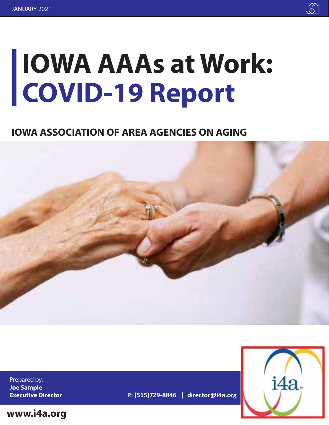# **IOWA AAAs at Work: COVID-19 Report**

## **IOWA ASSOCIATION OF AREA AGENCIES ON AGING**



Prepared by: **Joe Sample Executive Director**

**www.i4a.org**





**P: (515)729-8846 | director@i4a.org**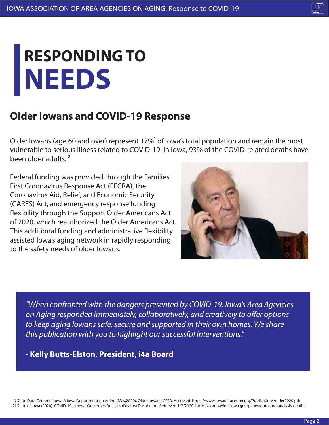# **NEEDS RESPONDING TO**

## **Older Iowans and COVID-19 Response**

Older Iowans (age 60 and over) represent  $17\%$ <sup>1</sup> of Iowa's total population and remain the most vulnerable to serious illness related to COVID-19. In Iowa, 93% of the COVID-related deaths have been older adults. ²

Federal funding was provided through the Families First Coronavirus Response Act (FFCRA), the Coronavirus Aid, Relief, and Economic Security (CARES) Act, and emergency response funding flexibility through the Support Older Americans Act of 2020, which reauthorized the Older Americans Act. This additional funding and administrative flexibility assisted Iowa's aging network in rapidly responding to the safety needs of older Iowans.



*"When confronted with the dangers presented by COVID-19, Iowa's Area Agencies*  on Aging responded immediately, collaboratively, and creatively to offer options *to keep aging Iowans safe, secure and supported in their own homes. We share this publication with you to highlight our successful interventions."*

**- Kelly Butts-Elston, President, i4a Board**

1) State Data Center of Iowa & Iowa Department on Aging (May,2020). Older Iowans: 2020. Accessed: https://www.iowadatacenter.org/Publications/older2020.pdf 2) State of Iowa (2020). COVID-19 in Iowa: Outcomes Analysis (Deaths) Dashboard. Retrieved 1/7/2020. https://coronavirus.iowa.gov/pages/outcome-analysis-deaths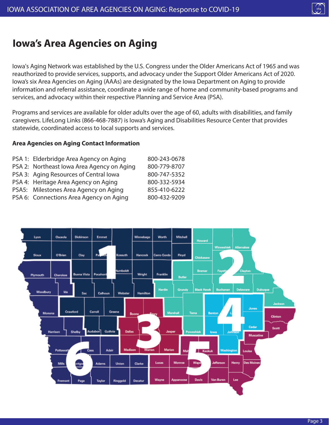## **Iowa's Area Agencies on Aging**

Iowa's Aging Network was established by the U.S. Congress under the Older Americans Act of 1965 and was reauthorized to provide services, supports, and advocacy under the Support Older Americans Act of 2020. Iowa's six Area Agencies on Aging (AAAs) are designated by the Iowa Department on Aging to provide information and referral assistance, coordinate a wide range of home and community-based programs and services, and advocacy within their respective Planning and Service Area (PSA).

Programs and services are available for older adults over the age of 60, adults with disabilities, and family caregivers. LifeLong Links (866-468-7887) is Iowa's Aging and Disabilities Resource Center that provides statewide, coordinated access to local supports and services.

#### **Area Agencies on Aging Contact Information**

| PSA 1: Elderbridge Area Agency on Aging    | 800-243-0678 |
|--------------------------------------------|--------------|
| PSA 2: Northeast lowa Area Agency on Aging | 800-779-8707 |
| PSA 3: Aging Resources of Central lowa     | 800-747-5352 |
| PSA 4: Heritage Area Agency on Aging       | 800-332-5934 |
| PSA5: Milestones Area Agency on Aging      | 855-410-6222 |
| PSA 6: Connections Area Agency on Aging    | 800-432-9209 |



 $\widehat{A}$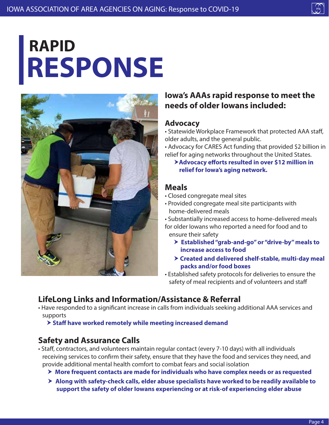# **RESPONSE RAPID**



#### **Iowa's AAAs rapid response to meet the needs of older Iowans included:**

#### **Advocacy**

• Statewide Workplace Framework that protected AAA staff, older adults, and the general public.

• Advocacy for CARES Act funding that provided \$2 billion in relief for aging networks throughout the United States.

#### **Example 2 Advocacy efforts resulted in over \$12 million in relief for Iowa's aging network.**

#### **Meals**

- Closed congregate meal sites
- Provided congregate meal site participants with home-delivered meals

• Substantially increased access to home-delivered meals for older Iowans who reported a need for food and to ensure their safety

- **Established "grab-and-go" or "drive-by" meals to increase access to food**
- **Created and delivered shelf-stable, multi-day meal packs and/or food boxes**
- Established safety protocols for deliveries to ensure the safety of meal recipients and of volunteers and staff

### **LifeLong Links and Information/Assistance & Referral**

• Have responded to a significant increase in calls from individuals seeking additional AAA services and supports

**> Staff have worked remotely while meeting increased demand** 

#### **Safety and Assurance Calls**

- Staff, contractors, and volunteers maintain regular contact (every 7-10 days) with all individuals receiving services to confirm their safety, ensure that they have the food and services they need, and provide additional mental health comfort to combat fears and social isolation
	- **More frequent contacts are made for individuals who have complex needs or as requested**
	- **Along with safety-check calls, elder abuse specialists have worked to be readily available to support the safety of older Iowans experiencing or at risk-of experiencing elder abuse**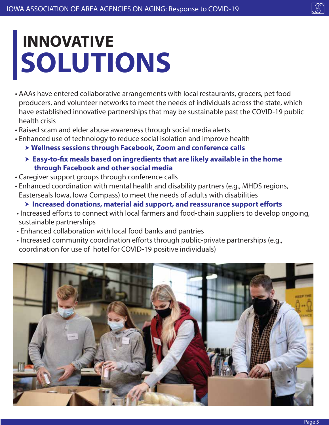# **SOLUTIONS INNOVATIVE**

- AAAs have entered collaborative arrangements with local restaurants, grocers, pet food producers, and volunteer networks to meet the needs of individuals across the state, which have established innovative partnerships that may be sustainable past the COVID-19 public health crisis
- Raised scam and elder abuse awareness through social media alerts
- Enhanced use of technology to reduce social isolation and improve health
	- **Wellness sessions through Facebook, Zoom and conference calls**
	- $\triangleright$  **Easy-to-fix meals based on ingredients that are likely available in the home through Facebook and other social media**
- Caregiver support groups through conference calls
- Enhanced coordination with mental health and disability partners (e.g., MHDS regions, Easterseals Iowa, Iowa Compass) to meet the needs of adults with disabilities
	- $\triangleright$  **Increased donations, material aid support, and reassurance support efforts**
- Increased efforts to connect with local farmers and food-chain suppliers to develop ongoing, sustainable partnerships
- Enhanced collaboration with local food banks and pantries
- Increased community coordination efforts through public-private partnerships (e.g., coordination for use of hotel for COVID-19 positive individuals)

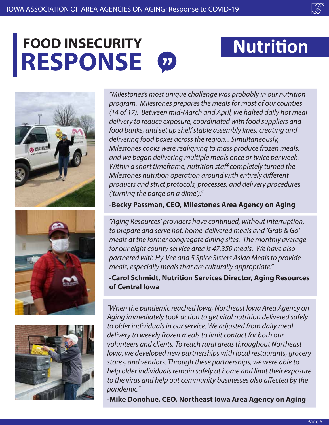# **RESPONSE** FOOD INSECURITY Nutrition







*"Milestones's most unique challenge was probably in our nutrition program. Milestones prepares the meals for most of our counties (14 of 17). Between mid-March and April, we halted daily hot meal delivery to reduce exposure, coordinated with food suppliers and food banks, and set up shelf stable assembly lines, creating and delivering food boxes across the region... Simultaneously, Milestones cooks were realigning to mass produce frozen meals, and we began delivering multiple meals once or twice per week. Within a short timeframe, nutrition staff completely turned the Milestones nutrition operation around with entirely different products and strict protocols, processes, and delivery procedures ('turning the barge on a dime')."* 

#### **-Becky Passman, CEO, Milestones Area Agency on Aging**

*"Aging Resources' providers have continued, without interruption, to prepare and serve hot, home-delivered meals and 'Grab & Go' meals at the former congregate dining sites. The monthly average for our eight county service area is 47,350 meals. We have also partnered with Hy-Vee and 5 Spice Sisters Asian Meals to provide meals, especially meals that are culturally appropriate."* 

#### **-Carol Schmidt, Nutrition Services Director, Aging Resources of Central Iowa**

*"When the pandemic reached Iowa, Northeast Iowa Area Agency on Aging immediately took action to get vital nutrition delivered safely to older individuals in our service. We adjusted from daily meal delivery to weekly frozen meals to limit contact for both our volunteers and clients. To reach rural areas throughout Northeast Iowa, we developed new partnerships with local restaurants, grocery stores, and vendors. Through these partnerships, we were able to help older individuals remain safely at home and limit their exposure*  to the virus and help out community businesses also affected by the *pandemic."* 

**-Mike Donohue, CEO, Northeast Iowa Area Agency on Aging**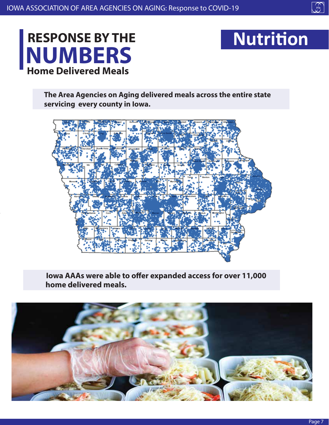

## **NUMBERS RESPONSE BY THE Home Delivered Meals**



**The Area Agencies on Aging delivered meals across the entire state servicing every county in Iowa.**



**Iowa AAAs were able to offer expanded access for over 11,000 home delivered meals.**

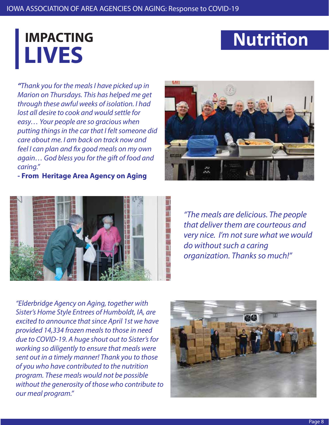# **LIVES**

## **IMPACTING Nutrition**

*"Thank you for the meals I have picked up in Marion on Thursdays. This has helped me get through these awful weeks of isolation. I had lost all desire to cook and would settle for easy… Your people are so gracious when putting things in the car that I felt someone did care about me. I am back on track now and feel I can plan and fix good meals on my own again… God bless you for the gift of food and caring."* 

**- From Heritage Area Agency on Aging**





*"The meals are delicious. The people that deliver them are courteous and very nice. I'm not sure what we would do without such a caring organization. Thanks so much!"*

*"Elderbridge Agency on Aging, together with Sister's Home Style Entrees of Humboldt, IA, are excited to announce that since April 1st we have provided 14,334 frozen meals to those in need due to COVID-19. A huge shout out to Sister's for working so diligently to ensure that meals were sent out in a timely manner! Thank you to those of you who have contributed to the nutrition program. These meals would not be possible without the generosity of those who contribute to our meal program."*

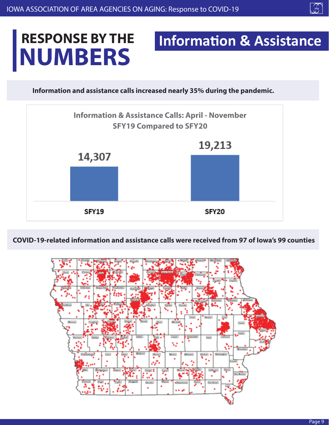## $\int_{\frac{1}{4a}}$

## **NUMBERS RESPONSE BY THE Information & Assistance**

**Information and assistance calls increased nearly 35% during the pandemic.**



**COVID-19-related information and assistance calls were received from 97 of Iowa's 99 counties**

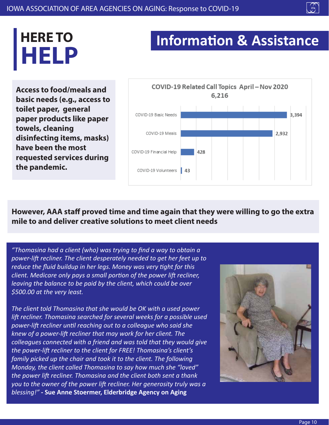# **HELP HERE TO**

## **Information & Assistance**

**Access to food/meals and basic needs (e.g., access to toilet paper, general paper products like paper towels, cleaning disinfecting items, masks) have been the most requested services during the pandemic.**



However, AAA staff proved time and time again that they were willing to go the extra **mile to and deliver creative solutions to meet client needs**

*"Thomasina had a client (who) was trying to find a way to obtain a power-lift recliner. The client desperately needed to get her feet up to reduce the fluid buildup in her legs. Money was very tight for this client. Medicare only pays a small portion of the power lift recliner, leaving the balance to be paid by the client, which could be over \$500.00 at the very least.*

*The client told Thomasina that she would be OK with a used power lift recliner. Thomasina searched for several weeks for a possible used power-lift recliner until reaching out to a colleague who said she knew of a power-lift recliner that may work for her client. The colleagues connected with a friend and was told that they would give the power-lift recliner to the client for FREE! Thomasina's client's family picked up the chair and took it to the client. The following Monday, the client called Thomasina to say how much she "loved" the power lift recliner. Thomasina and the client both sent a thank you to the owner of the power lift recliner. Her generosity truly was a blessing!" -* **Sue Anne Stoermer, Elderbridge Agency on Aging**

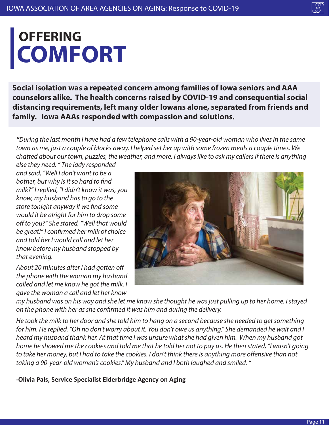# **COMFORT OFFERING**

**Social isolation was a repeated concern among families of Iowa seniors and AAA counselors alike. The health concerns raised by COVID-19 and consequential social distancing requirements, left many older Iowans alone, separated from friends and family. Iowa AAAs responded with compassion and solutions.** 

*"During the last month I have had a few telephone calls with a 90-year-old woman who lives in the same town as me, just a couple of blocks away. I helped set her up with some frozen meals a couple times. We chatted about our town, puzzles, the weather, and more. I always like to ask my callers if there is anything* 

*else they need. " The lady responded and said, "Well I don't want to be a bother, but why is it so hard to find milk?" I replied, "I didn't know it was, you know, my husband has to go to the store tonight anyway if we nd some would it be alright for him to drop some*  off to you?" She stated, "Well that would *be great!" I conrmed her milk of choice and told her I would call and let her know before my husband stopped by that evening.* 

About 20 minutes after I had gotten off *the phone with the woman my husband called and let me know he got the milk. I gave the woman a call and let her know* 



*my husband was on his way and she let me know she thought he was just pulling up to her home. I stayed on the phone with her as she conrmed it was him and during the delivery.* 

*He took the milk to her door and she told him to hang on a second because she needed to get something for him. He replied, "Oh no don't worry about it. You don't owe us anything." She demanded he wait and I heard my husband thank her. At that time I was unsure what she had given him. When my husband got home he showed me the cookies and told me that he told her not to pay us. He then stated, "I wasn't going*  to take her money, but I had to take the cookies. I don't think there is anything more offensive than not *taking a 90-year-old woman's cookies." My husband and I both laughed and smiled. "*

**-Olivia Pals, Service Specialist Elderbridge Agency on Aging**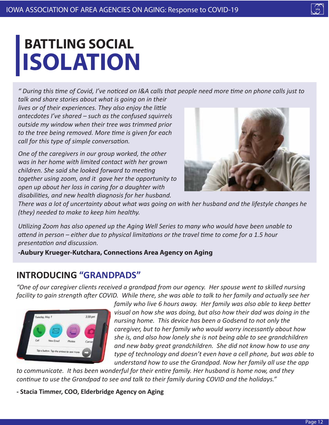# **ISOLATION BATTLING SOCIAL**

*" During this time of Covid, I've noticed on I&A calls that people need more time on phone calls just to talk and share stories about what is going on in their* 

*lives or of their experiences. They also enjoy the little antecdotes I've shared – such as the confused squirrels outside my window when their tree was trimmed prior to the tree being removed. More time is given for each call for this type of simple conversation.* 

*One of the caregivers in our group worked, the other was in her home with limited contact with her grown children. She said she looked forward to meeting together using zoom, and it gave her the opportunity to open up about her loss in caring for a daughter with disabilities, and new health diagnosis for her husband.* 



*There was a lot of uncertainty about what was going on with her husband and the lifestyle changes he (they) needed to make to keep him healthy.* 

*Utilizing Zoom has also opened up the Aging Well Series to many who would have been unable to attend in person – either due to physical limitations or the travel time to come for a 1.5 hour presentation and discussion.* 

**-Aubury Krueger-Kutchara, Connections Area Agency on Aging**

#### **INTRODUCING "GRANDPADS"**

*"One of our caregiver clients received a grandpad from our agency. Her spouse went to skilled nursing facility to gain strength after COVID. While there, she was able to talk to her family and actually see her* 



*family who live 6 hours away. Her family was also able to keep better visual on how she was doing, but also how their dad was doing in the nursing home. This device has been a Godsend to not only the caregiver, but to her family who would worry incessantly about how she is, and also how lonely she is not being able to see grandchildren and new baby great grandchildren. She did not know how to use any type of technology and doesn't even have a cell phone, but was able to understand how to use the Grandpad. Now her family all use the app* 

*to communicate. It has been wonderful for their entire family. Her husband is home now, and they continue to use the Grandpad to see and talk to their family during COVID and the holidays."* 

**- Stacia Timmer, COO, Elderbridge Agency on Aging**